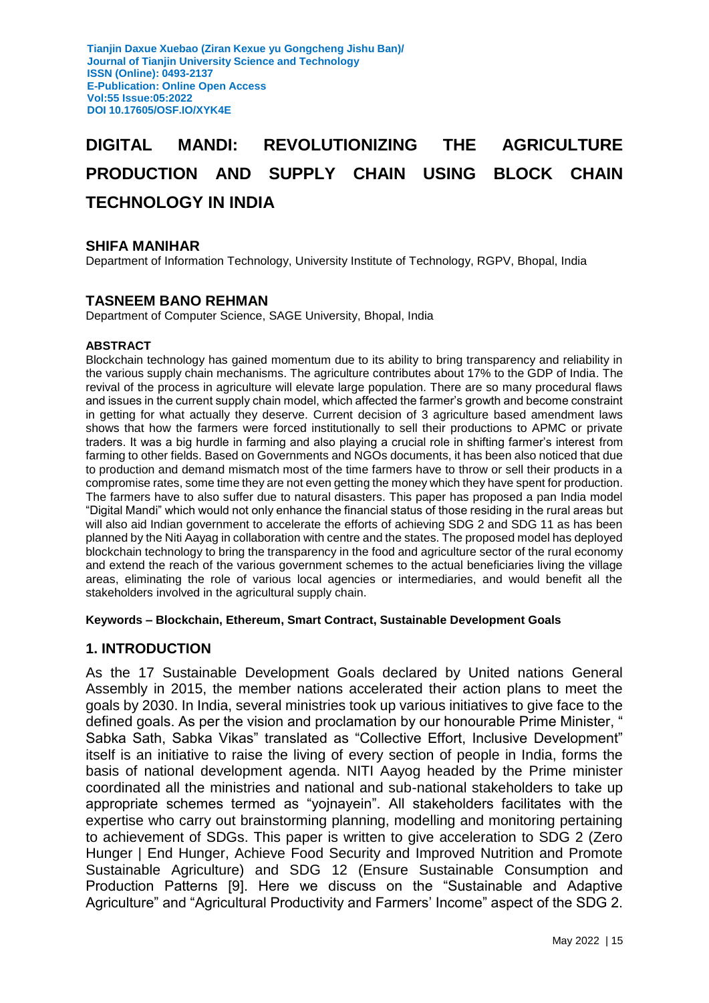# **DIGITAL MANDI: REVOLUTIONIZING THE AGRICULTURE PRODUCTION AND SUPPLY CHAIN USING BLOCK CHAIN TECHNOLOGY IN INDIA**

#### **SHIFA MANIHAR**

Department of Information Technology, University Institute of Technology, RGPV, Bhopal, India

#### **TASNEEM BANO REHMAN**

Department of Computer Science, SAGE University, Bhopal, India

#### **ABSTRACT**

Blockchain technology has gained momentum due to its ability to bring transparency and reliability in the various supply chain mechanisms. The agriculture contributes about 17% to the GDP of India. The revival of the process in agriculture will elevate large population. There are so many procedural flaws and issues in the current supply chain model, which affected the farmer's growth and become constraint in getting for what actually they deserve. Current decision of 3 agriculture based amendment laws shows that how the farmers were forced institutionally to sell their productions to APMC or private traders. It was a big hurdle in farming and also playing a crucial role in shifting farmer's interest from farming to other fields. Based on Governments and NGOs documents, it has been also noticed that due to production and demand mismatch most of the time farmers have to throw or sell their products in a compromise rates, some time they are not even getting the money which they have spent for production. The farmers have to also suffer due to natural disasters. This paper has proposed a pan India model "Digital Mandi" which would not only enhance the financial status of those residing in the rural areas but will also aid Indian government to accelerate the efforts of achieving SDG 2 and SDG 11 as has been planned by the Niti Aayag in collaboration with centre and the states. The proposed model has deployed blockchain technology to bring the transparency in the food and agriculture sector of the rural economy and extend the reach of the various government schemes to the actual beneficiaries living the village areas, eliminating the role of various local agencies or intermediaries, and would benefit all the stakeholders involved in the agricultural supply chain.

#### **Keywords – Blockchain, Ethereum, Smart Contract, Sustainable Development Goals**

#### **1. INTRODUCTION**

As the 17 Sustainable Development Goals declared by United nations General Assembly in 2015, the member nations accelerated their action plans to meet the goals by 2030. In India, several ministries took up various initiatives to give face to the defined goals. As per the vision and proclamation by our honourable Prime Minister, " Sabka Sath, Sabka Vikas" translated as "Collective Effort, Inclusive Development" itself is an initiative to raise the living of every section of people in India, forms the basis of national development agenda. NITI Aayog headed by the Prime minister coordinated all the ministries and national and sub-national stakeholders to take up appropriate schemes termed as "yojnayein". All stakeholders facilitates with the expertise who carry out brainstorming planning, modelling and monitoring pertaining to achievement of SDGs. This paper is written to give acceleration to SDG 2 (Zero Hunger | End Hunger, Achieve Food Security and Improved Nutrition and Promote Sustainable Agriculture) and SDG 12 (Ensure Sustainable Consumption and Production Patterns [9]. Here we discuss on the "Sustainable and Adaptive Agriculture" and "Agricultural Productivity and Farmers' Income" aspect of the SDG 2.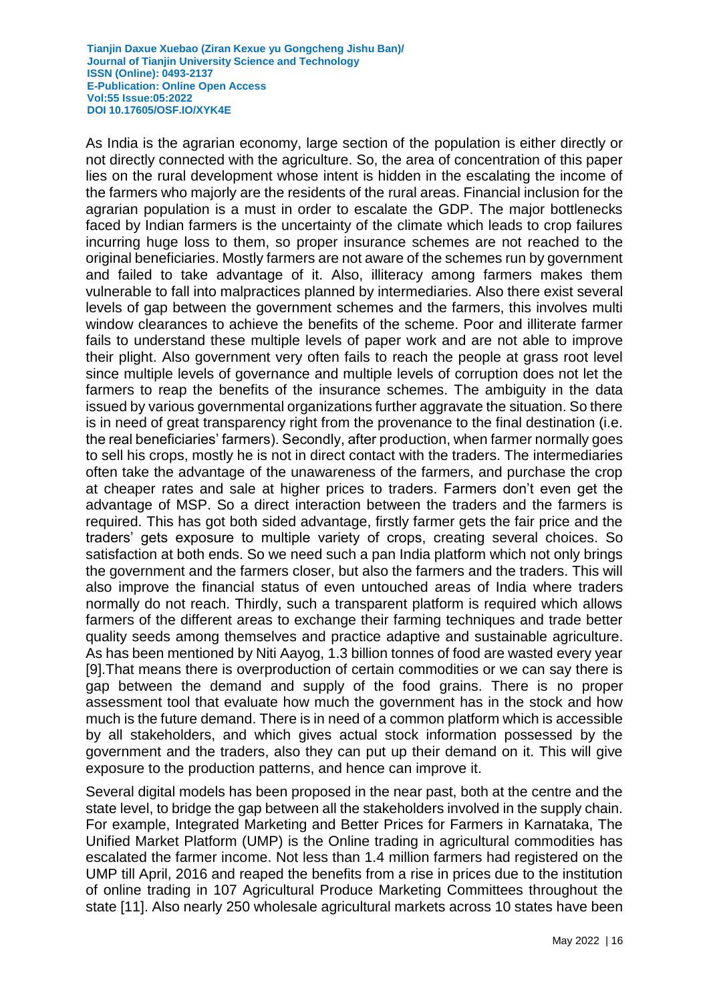As India is the agrarian economy, large section of the population is either directly or not directly connected with the agriculture. So, the area of concentration of this paper lies on the rural development whose intent is hidden in the escalating the income of the farmers who majorly are the residents of the rural areas. Financial inclusion for the agrarian population is a must in order to escalate the GDP. The major bottlenecks faced by Indian farmers is the uncertainty of the climate which leads to crop failures incurring huge loss to them, so proper insurance schemes are not reached to the original beneficiaries. Mostly farmers are not aware of the schemes run by government and failed to take advantage of it. Also, illiteracy among farmers makes them vulnerable to fall into malpractices planned by intermediaries. Also there exist several levels of gap between the government schemes and the farmers, this involves multi window clearances to achieve the benefits of the scheme. Poor and illiterate farmer fails to understand these multiple levels of paper work and are not able to improve their plight. Also government very often fails to reach the people at grass root level since multiple levels of governance and multiple levels of corruption does not let the farmers to reap the benefits of the insurance schemes. The ambiguity in the data issued by various governmental organizations further aggravate the situation. So there is in need of great transparency right from the provenance to the final destination (i.e. the real beneficiaries' farmers). Secondly, after production, when farmer normally goes to sell his crops, mostly he is not in direct contact with the traders. The intermediaries often take the advantage of the unawareness of the farmers, and purchase the crop at cheaper rates and sale at higher prices to traders. Farmers don't even get the advantage of MSP. So a direct interaction between the traders and the farmers is required. This has got both sided advantage, firstly farmer gets the fair price and the traders' gets exposure to multiple variety of crops, creating several choices. So satisfaction at both ends. So we need such a pan India platform which not only brings the government and the farmers closer, but also the farmers and the traders. This will also improve the financial status of even untouched areas of India where traders normally do not reach. Thirdly, such a transparent platform is required which allows farmers of the different areas to exchange their farming techniques and trade better quality seeds among themselves and practice adaptive and sustainable agriculture. As has been mentioned by Niti Aayog, 1.3 billion tonnes of food are wasted every year [9].That means there is overproduction of certain commodities or we can say there is gap between the demand and supply of the food grains. There is no proper assessment tool that evaluate how much the government has in the stock and how much is the future demand. There is in need of a common platform which is accessible by all stakeholders, and which gives actual stock information possessed by the government and the traders, also they can put up their demand on it. This will give exposure to the production patterns, and hence can improve it.

Several digital models has been proposed in the near past, both at the centre and the state level, to bridge the gap between all the stakeholders involved in the supply chain. For example, Integrated Marketing and Better Prices for Farmers in Karnataka, The Unified Market Platform (UMP) is the Online trading in agricultural commodities has escalated the farmer income. Not less than 1.4 million farmers had registered on the UMP till April, 2016 and reaped the benefits from a rise in prices due to the institution of online trading in 107 Agricultural Produce Marketing Committees throughout the state [11]. Also nearly 250 wholesale agricultural markets across 10 states have been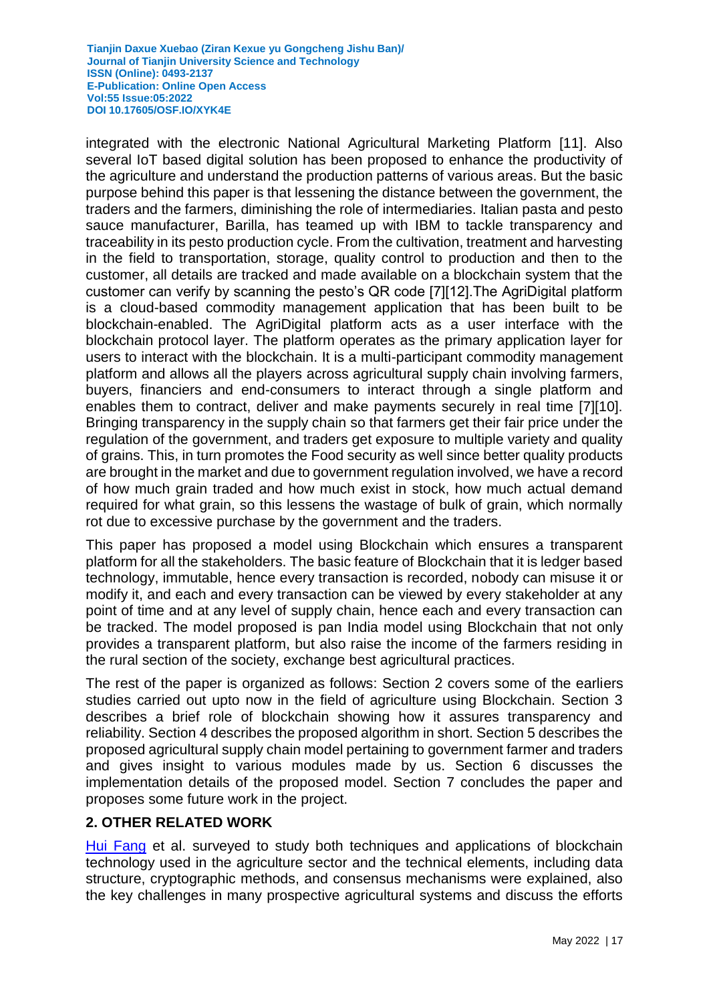integrated with the electronic National Agricultural Marketing Platform [11]. Also several IoT based digital solution has been proposed to enhance the productivity of the agriculture and understand the production patterns of various areas. But the basic purpose behind this paper is that lessening the distance between the government, the traders and the farmers, diminishing the role of intermediaries. Italian pasta and pesto sauce manufacturer, Barilla, has teamed up with IBM to tackle transparency and traceability in its pesto production cycle. From the cultivation, treatment and harvesting in the field to transportation, storage, quality control to production and then to the customer, all details are tracked and made available on a blockchain system that the customer can verify by scanning the pesto's QR code [7][12].The AgriDigital platform is a cloud-based commodity management application that has been built to be blockchain-enabled. The AgriDigital platform acts as a user interface with the blockchain protocol layer. The platform operates as the primary application layer for users to interact with the blockchain. It is a multi-participant commodity management platform and allows all the players across agricultural supply chain involving farmers, buyers, financiers and end-consumers to interact through a single platform and enables them to contract, deliver and make payments securely in real time [7][10]. Bringing transparency in the supply chain so that farmers get their fair price under the regulation of the government, and traders get exposure to multiple variety and quality of grains. This, in turn promotes the Food security as well since better quality products are brought in the market and due to government regulation involved, we have a record of how much grain traded and how much exist in stock, how much actual demand required for what grain, so this lessens the wastage of bulk of grain, which normally rot due to excessive purchase by the government and the traders.

This paper has proposed a model using Blockchain which ensures a transparent platform for all the stakeholders. The basic feature of Blockchain that it is ledger based technology, immutable, hence every transaction is recorded, nobody can misuse it or modify it, and each and every transaction can be viewed by every stakeholder at any point of time and at any level of supply chain, hence each and every transaction can be tracked. The model proposed is pan India model using Blockchain that not only provides a transparent platform, but also raise the income of the farmers residing in the rural section of the society, exchange best agricultural practices.

The rest of the paper is organized as follows: Section 2 covers some of the earliers studies carried out upto now in the field of agriculture using Blockchain. Section 3 describes a brief role of blockchain showing how it assures transparency and reliability. Section 4 describes the proposed algorithm in short. Section 5 describes the proposed agricultural supply chain model pertaining to government farmer and traders and gives insight to various modules made by us. Section 6 discusses the implementation details of the proposed model. Section 7 concludes the paper and proposes some future work in the project.

# **2. OTHER RELATED WORK**

[Hui Fang](https://www.researchgate.net/scientific-contributions/Hui-Fang-2178974513) et al. surveyed to study both techniques and applications of blockchain technology used in the agriculture sector and the technical elements, including data structure, cryptographic methods, and consensus mechanisms were explained, also the key challenges in many prospective agricultural systems and discuss the efforts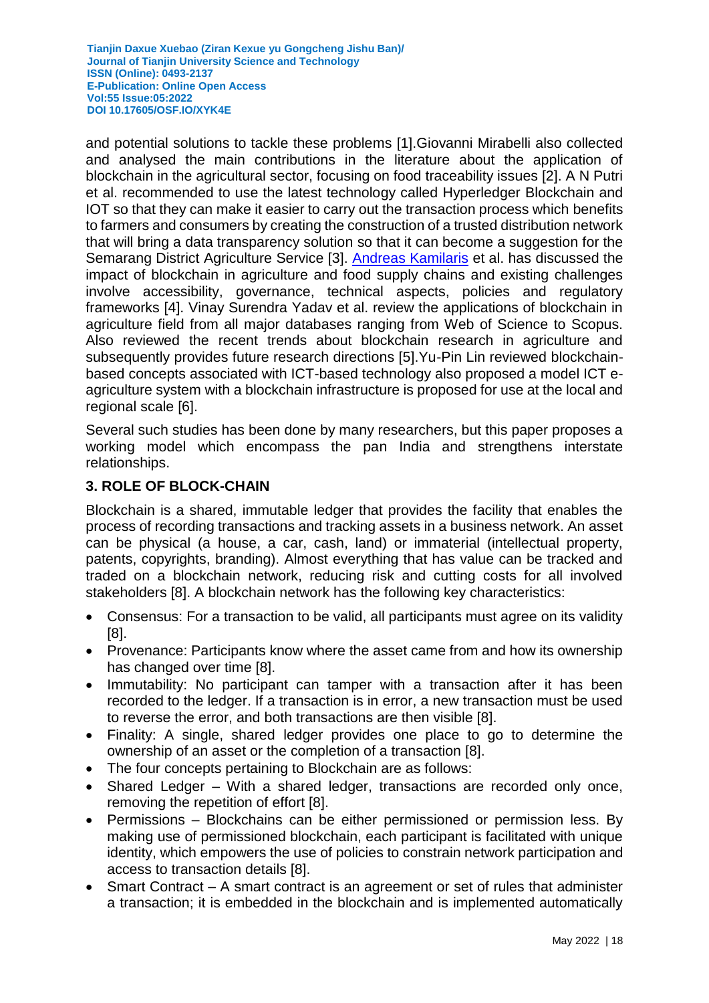and potential solutions to tackle these problems [1].Giovanni Mirabelli also collected and analysed the main contributions in the literature about the application of blockchain in the agricultural sector, focusing on food traceability issues [2]. A N Putri et al. recommended to use the latest technology called Hyperledger Blockchain and IOT so that they can make it easier to carry out the transaction process which benefits to farmers and consumers by creating the construction of a trusted distribution network that will bring a data transparency solution so that it can become a suggestion for the Semarang District Agriculture Service [3]. [Andreas Kamilaris](https://www.researchgate.net/scientific-contributions/Andreas-Kamilaris-70195963) et al. has discussed the impact of blockchain in agriculture and food supply chains and existing challenges involve accessibility, governance, technical aspects, policies and regulatory frameworks [4]. Vinay Surendra Yadav et al. review the applications of blockchain in agriculture field from all major databases ranging from Web of Science to Scopus. Also reviewed the recent trends about blockchain research in agriculture and subsequently provides future research directions [5].Yu-Pin Lin reviewed blockchainbased concepts associated with ICT-based technology also proposed a model ICT eagriculture system with a blockchain infrastructure is proposed for use at the local and regional scale [6].

Several such studies has been done by many researchers, but this paper proposes a working model which encompass the pan India and strengthens interstate relationships.

# **3. ROLE OF BLOCK-CHAIN**

Blockchain is a shared, immutable ledger that provides the facility that enables the process of recording transactions and tracking assets in a business network. An asset can be physical (a house, a car, cash, land) or immaterial (intellectual property, patents, copyrights, branding). Almost everything that has value can be tracked and traded on a blockchain network, reducing risk and cutting costs for all involved stakeholders [8]. A blockchain network has the following key characteristics:

- Consensus: For a transaction to be valid, all participants must agree on its validity [8].
- Provenance: Participants know where the asset came from and how its ownership has changed over time [8].
- Immutability: No participant can tamper with a transaction after it has been recorded to the ledger. If a transaction is in error, a new transaction must be used to reverse the error, and both transactions are then visible [8].
- Finality: A single, shared ledger provides one place to go to determine the ownership of an asset or the completion of a transaction [8].
- The four concepts pertaining to Blockchain are as follows:
- Shared Ledger With a shared ledger, transactions are recorded only once, removing the repetition of effort [8].
- Permissions Blockchains can be either permissioned or permission less. By making use of permissioned blockchain, each participant is facilitated with unique identity, which empowers the use of policies to constrain network participation and access to transaction details [8].
- Smart Contract A smart contract is an agreement or set of rules that administer a transaction; it is embedded in the blockchain and is implemented automatically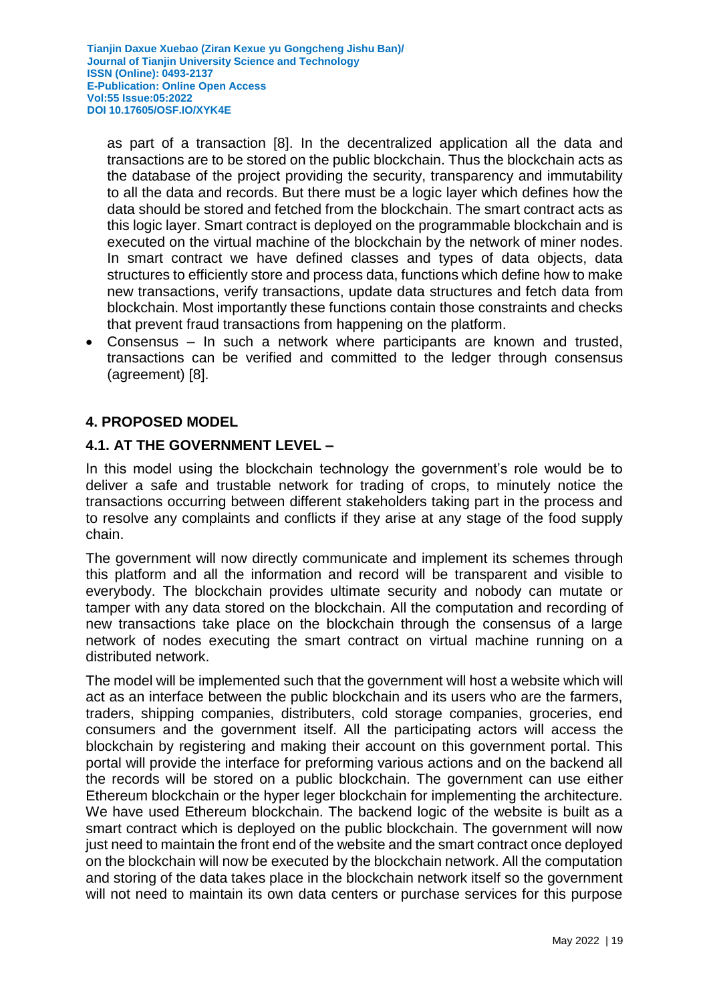as part of a transaction [8]. In the decentralized application all the data and transactions are to be stored on the public blockchain. Thus the blockchain acts as the database of the project providing the security, transparency and immutability to all the data and records. But there must be a logic layer which defines how the data should be stored and fetched from the blockchain. The smart contract acts as this logic layer. Smart contract is deployed on the programmable blockchain and is executed on the virtual machine of the blockchain by the network of miner nodes. In smart contract we have defined classes and types of data objects, data structures to efficiently store and process data, functions which define how to make new transactions, verify transactions, update data structures and fetch data from blockchain. Most importantly these functions contain those constraints and checks that prevent fraud transactions from happening on the platform.

 Consensus – In such a network where participants are known and trusted, transactions can be verified and committed to the ledger through consensus (agreement) [8].

# **4. PROPOSED MODEL**

# **4.1. AT THE GOVERNMENT LEVEL –**

In this model using the blockchain technology the government's role would be to deliver a safe and trustable network for trading of crops, to minutely notice the transactions occurring between different stakeholders taking part in the process and to resolve any complaints and conflicts if they arise at any stage of the food supply chain.

The government will now directly communicate and implement its schemes through this platform and all the information and record will be transparent and visible to everybody. The blockchain provides ultimate security and nobody can mutate or tamper with any data stored on the blockchain. All the computation and recording of new transactions take place on the blockchain through the consensus of a large network of nodes executing the smart contract on virtual machine running on a distributed network.

The model will be implemented such that the government will host a website which will act as an interface between the public blockchain and its users who are the farmers, traders, shipping companies, distributers, cold storage companies, groceries, end consumers and the government itself. All the participating actors will access the blockchain by registering and making their account on this government portal. This portal will provide the interface for preforming various actions and on the backend all the records will be stored on a public blockchain. The government can use either Ethereum blockchain or the hyper leger blockchain for implementing the architecture. We have used Ethereum blockchain. The backend logic of the website is built as a smart contract which is deployed on the public blockchain. The government will now just need to maintain the front end of the website and the smart contract once deployed on the blockchain will now be executed by the blockchain network. All the computation and storing of the data takes place in the blockchain network itself so the government will not need to maintain its own data centers or purchase services for this purpose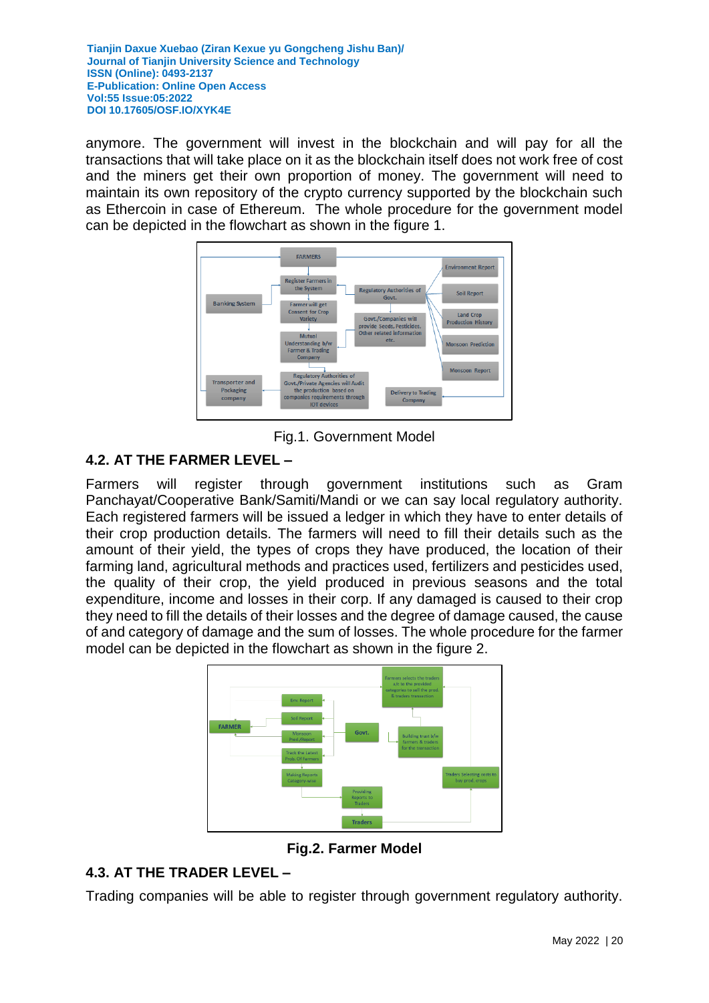anymore. The government will invest in the blockchain and will pay for all the transactions that will take place on it as the blockchain itself does not work free of cost and the miners get their own proportion of money. The government will need to maintain its own repository of the crypto currency supported by the blockchain such as Ethercoin in case of Ethereum. The whole procedure for the government model can be depicted in the flowchart as shown in the figure 1.



Fig.1. Government Model

# **4.2. AT THE FARMER LEVEL –**

Farmers will register through government institutions such as Gram Panchayat/Cooperative Bank/Samiti/Mandi or we can say local regulatory authority. Each registered farmers will be issued a ledger in which they have to enter details of their crop production details. The farmers will need to fill their details such as the amount of their yield, the types of crops they have produced, the location of their farming land, agricultural methods and practices used, fertilizers and pesticides used, the quality of their crop, the yield produced in previous seasons and the total expenditure, income and losses in their corp. If any damaged is caused to their crop they need to fill the details of their losses and the degree of damage caused, the cause of and category of damage and the sum of losses. The whole procedure for the farmer model can be depicted in the flowchart as shown in the figure 2.



**Fig.2. Farmer Model**

# **4.3. AT THE TRADER LEVEL –**

Trading companies will be able to register through government regulatory authority.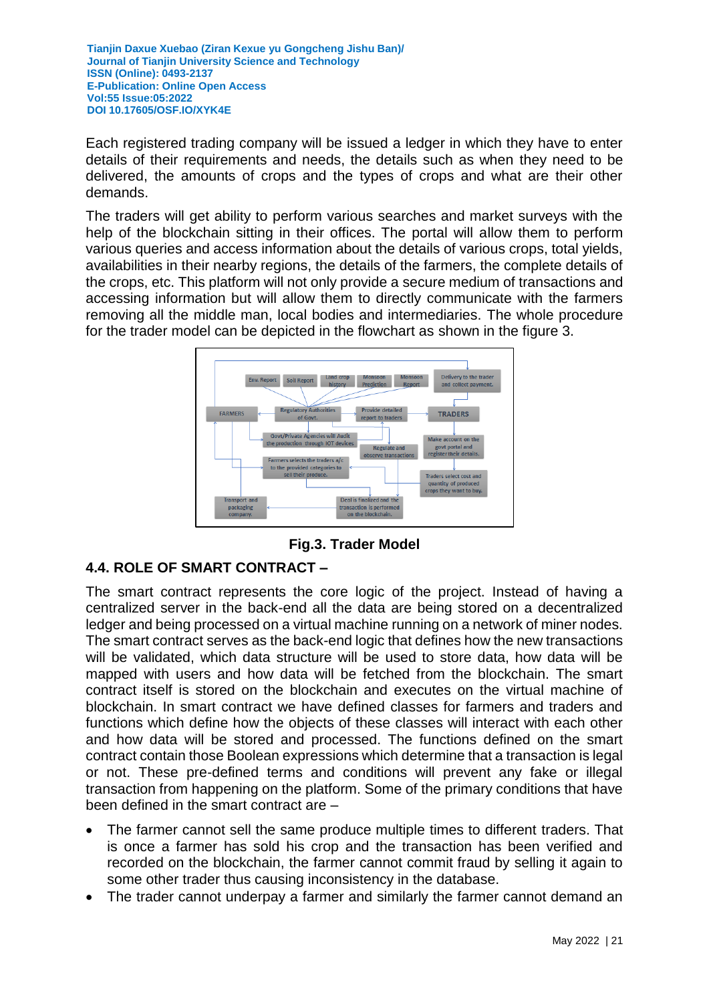Each registered trading company will be issued a ledger in which they have to enter details of their requirements and needs, the details such as when they need to be delivered, the amounts of crops and the types of crops and what are their other demands.

The traders will get ability to perform various searches and market surveys with the help of the blockchain sitting in their offices. The portal will allow them to perform various queries and access information about the details of various crops, total yields, availabilities in their nearby regions, the details of the farmers, the complete details of the crops, etc. This platform will not only provide a secure medium of transactions and accessing information but will allow them to directly communicate with the farmers removing all the middle man, local bodies and intermediaries. The whole procedure for the trader model can be depicted in the flowchart as shown in the figure 3.



**Fig.3. Trader Model**

# **4.4. ROLE OF SMART CONTRACT –**

The smart contract represents the core logic of the project. Instead of having a centralized server in the back-end all the data are being stored on a decentralized ledger and being processed on a virtual machine running on a network of miner nodes. The smart contract serves as the back-end logic that defines how the new transactions will be validated, which data structure will be used to store data, how data will be mapped with users and how data will be fetched from the blockchain. The smart contract itself is stored on the blockchain and executes on the virtual machine of blockchain. In smart contract we have defined classes for farmers and traders and functions which define how the objects of these classes will interact with each other and how data will be stored and processed. The functions defined on the smart contract contain those Boolean expressions which determine that a transaction is legal or not. These pre-defined terms and conditions will prevent any fake or illegal transaction from happening on the platform. Some of the primary conditions that have been defined in the smart contract are –

- The farmer cannot sell the same produce multiple times to different traders. That is once a farmer has sold his crop and the transaction has been verified and recorded on the blockchain, the farmer cannot commit fraud by selling it again to some other trader thus causing inconsistency in the database.
- The trader cannot underpay a farmer and similarly the farmer cannot demand an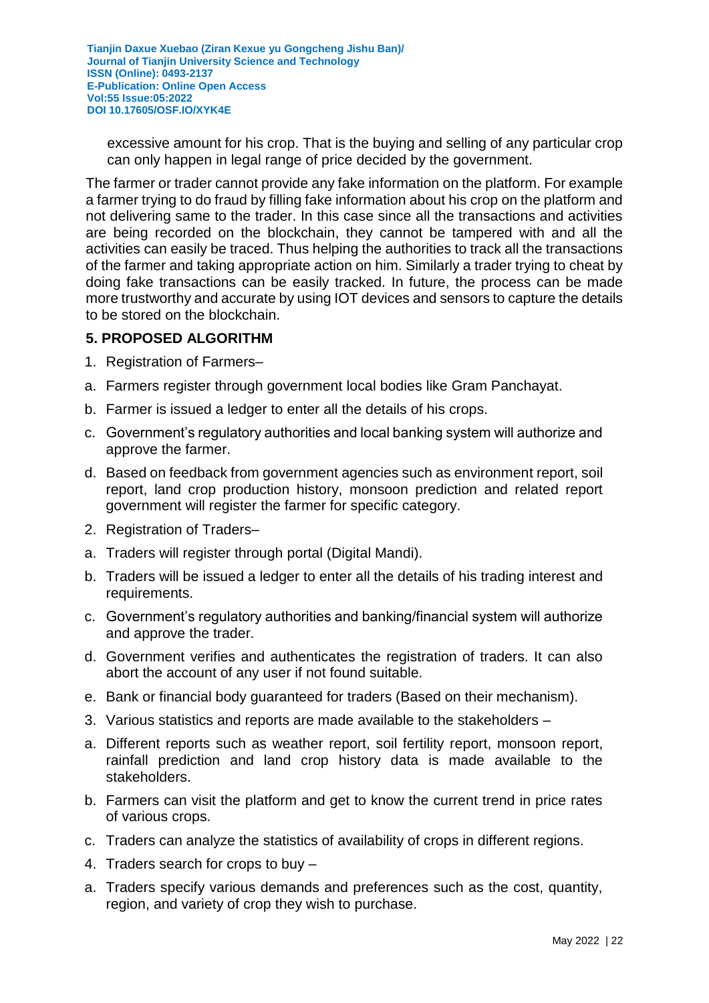excessive amount for his crop. That is the buying and selling of any particular crop can only happen in legal range of price decided by the government.

The farmer or trader cannot provide any fake information on the platform. For example a farmer trying to do fraud by filling fake information about his crop on the platform and not delivering same to the trader. In this case since all the transactions and activities are being recorded on the blockchain, they cannot be tampered with and all the activities can easily be traced. Thus helping the authorities to track all the transactions of the farmer and taking appropriate action on him. Similarly a trader trying to cheat by doing fake transactions can be easily tracked. In future, the process can be made more trustworthy and accurate by using IOT devices and sensors to capture the details to be stored on the blockchain.

### **5. PROPOSED ALGORITHM**

- 1. Registration of Farmers–
- a. Farmers register through government local bodies like Gram Panchayat.
- b. Farmer is issued a ledger to enter all the details of his crops.
- c. Government's regulatory authorities and local banking system will authorize and approve the farmer.
- d. Based on feedback from government agencies such as environment report, soil report, land crop production history, monsoon prediction and related report government will register the farmer for specific category.
- 2. Registration of Traders–
- a. Traders will register through portal (Digital Mandi).
- b. Traders will be issued a ledger to enter all the details of his trading interest and requirements.
- c. Government's regulatory authorities and banking/financial system will authorize and approve the trader.
- d. Government verifies and authenticates the registration of traders. It can also abort the account of any user if not found suitable.
- e. Bank or financial body guaranteed for traders (Based on their mechanism).
- 3. Various statistics and reports are made available to the stakeholders –
- a. Different reports such as weather report, soil fertility report, monsoon report, rainfall prediction and land crop history data is made available to the stakeholders.
- b. Farmers can visit the platform and get to know the current trend in price rates of various crops.
- c. Traders can analyze the statistics of availability of crops in different regions.
- 4. Traders search for crops to buy –
- a. Traders specify various demands and preferences such as the cost, quantity, region, and variety of crop they wish to purchase.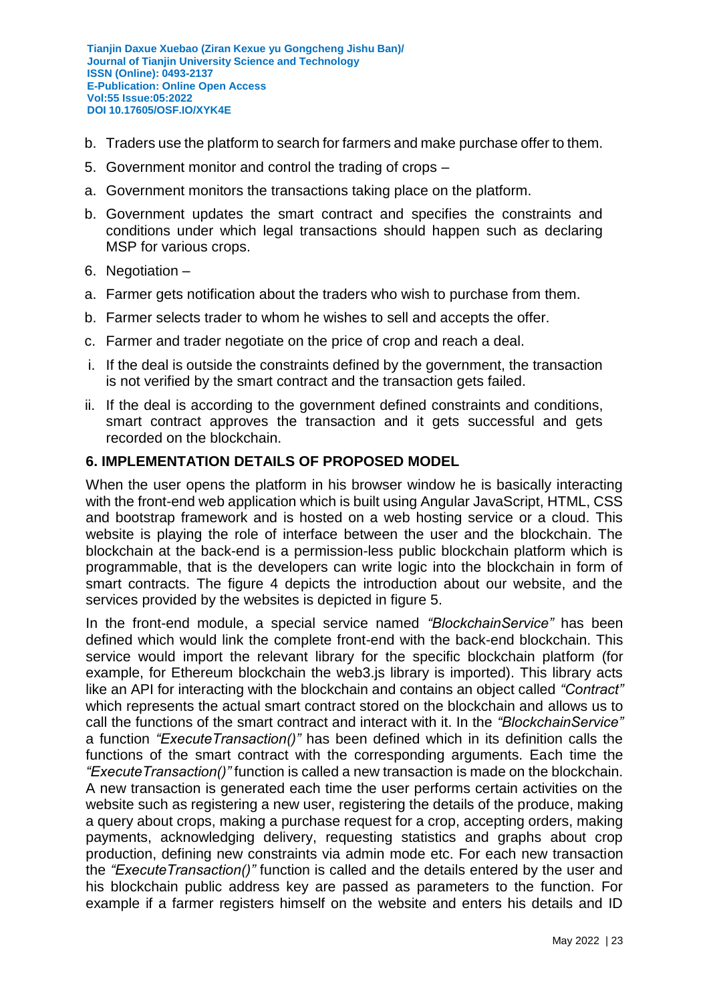- b. Traders use the platform to search for farmers and make purchase offer to them.
- 5. Government monitor and control the trading of crops –
- a. Government monitors the transactions taking place on the platform.
- b. Government updates the smart contract and specifies the constraints and conditions under which legal transactions should happen such as declaring MSP for various crops.
- 6. Negotiation –
- a. Farmer gets notification about the traders who wish to purchase from them.
- b. Farmer selects trader to whom he wishes to sell and accepts the offer.
- c. Farmer and trader negotiate on the price of crop and reach a deal.
- i. If the deal is outside the constraints defined by the government, the transaction is not verified by the smart contract and the transaction gets failed.
- ii. If the deal is according to the government defined constraints and conditions, smart contract approves the transaction and it gets successful and gets recorded on the blockchain.

# **6. IMPLEMENTATION DETAILS OF PROPOSED MODEL**

When the user opens the platform in his browser window he is basically interacting with the front-end web application which is built using Angular JavaScript, HTML, CSS and bootstrap framework and is hosted on a web hosting service or a cloud. This website is playing the role of interface between the user and the blockchain. The blockchain at the back-end is a permission-less public blockchain platform which is programmable, that is the developers can write logic into the blockchain in form of smart contracts. The figure 4 depicts the introduction about our website, and the services provided by the websites is depicted in figure 5.

In the front-end module, a special service named *"BlockchainService"* has been defined which would link the complete front-end with the back-end blockchain. This service would import the relevant library for the specific blockchain platform (for example, for Ethereum blockchain the web3.js library is imported). This library acts like an API for interacting with the blockchain and contains an object called *"Contract"* which represents the actual smart contract stored on the blockchain and allows us to call the functions of the smart contract and interact with it. In the *"BlockchainService"* a function *"ExecuteTransaction()"* has been defined which in its definition calls the functions of the smart contract with the corresponding arguments. Each time the *"ExecuteTransaction()"* function is called a new transaction is made on the blockchain. A new transaction is generated each time the user performs certain activities on the website such as registering a new user, registering the details of the produce, making a query about crops, making a purchase request for a crop, accepting orders, making payments, acknowledging delivery, requesting statistics and graphs about crop production, defining new constraints via admin mode etc. For each new transaction the *"ExecuteTransaction()"* function is called and the details entered by the user and his blockchain public address key are passed as parameters to the function. For example if a farmer registers himself on the website and enters his details and ID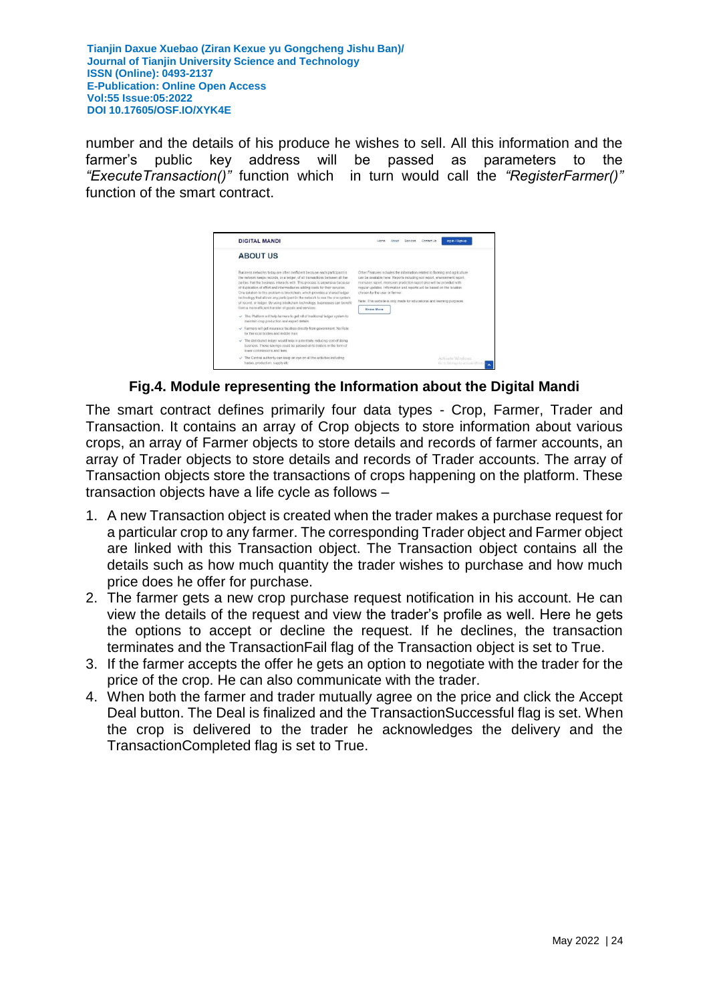number and the details of his produce he wishes to sell. All this information and the farmer's public key address will be passed as parameters to the *"ExecuteTransaction()"* function which in turn would call the *"RegisterFarmer()"*  function of the smart contract.

| <b>DIGITAL MANDI</b>                                                                                                                                                                                                                                                                                                                                                                                                                                                                                                                                                                                                            | los-in / Sign-up<br>Contact Us<br>Senices                                                                                                                                                                                                                                                                                                                                                                                                 |
|---------------------------------------------------------------------------------------------------------------------------------------------------------------------------------------------------------------------------------------------------------------------------------------------------------------------------------------------------------------------------------------------------------------------------------------------------------------------------------------------------------------------------------------------------------------------------------------------------------------------------------|-------------------------------------------------------------------------------------------------------------------------------------------------------------------------------------------------------------------------------------------------------------------------------------------------------------------------------------------------------------------------------------------------------------------------------------------|
| <b>AROUT US</b>                                                                                                                                                                                                                                                                                                                                                                                                                                                                                                                                                                                                                 |                                                                                                                                                                                                                                                                                                                                                                                                                                           |
| Business networks today are often inefficient because each participant in<br>the network keeps records, or a ledger, of all transactions between all the<br>parties that the business interacts with. This process is expensive because<br>of duplication of effort and intermediaries adding costs for their services.<br>One solution to this problem is blockchain, which provides a shared ledger<br>technology that allows any participant in the network to see the one system.<br>of record, or ledger. By using blockchain technology, businesses can benefit.<br>from a more efficient transfer of goods and services. | Other Features includes the information related to farming and agriculture<br>can be available here. Reports including soil report, environment report,<br>monsoon report, monsoon prediction report also will be provided with<br>reqular updates. Information and reports will be based on the location.<br>chosen by the user or farmer.<br>Note: This website is only made for educational and learning purposes.<br><b>Know More</b> |
| > This Platform will help farmers to get rid of traditional ledger system to<br>maintain crop production and export details.                                                                                                                                                                                                                                                                                                                                                                                                                                                                                                    |                                                                                                                                                                                                                                                                                                                                                                                                                                           |
| - Farmers will get insurance facilities directly from government. No Role.<br>for the local bodies and middle man                                                                                                                                                                                                                                                                                                                                                                                                                                                                                                               |                                                                                                                                                                                                                                                                                                                                                                                                                                           |
| The distributed ledger would help in potentially reducing cost of doing<br>business. These savings could be passed on to traders in the form of<br>lower commissions and fees.                                                                                                                                                                                                                                                                                                                                                                                                                                                  |                                                                                                                                                                                                                                                                                                                                                                                                                                           |
| The Central authority can keep an eye on all the activities including<br>trades, production, supply etc.                                                                                                                                                                                                                                                                                                                                                                                                                                                                                                                        | Activate Windows<br>Go to Settings to activate Windo                                                                                                                                                                                                                                                                                                                                                                                      |

**Fig.4. Module representing the Information about the Digital Mandi**

The smart contract defines primarily four data types - Crop, Farmer, Trader and Transaction. It contains an array of Crop objects to store information about various crops, an array of Farmer objects to store details and records of farmer accounts, an array of Trader objects to store details and records of Trader accounts. The array of Transaction objects store the transactions of crops happening on the platform. These transaction objects have a life cycle as follows –

- 1. A new Transaction object is created when the trader makes a purchase request for a particular crop to any farmer. The corresponding Trader object and Farmer object are linked with this Transaction object. The Transaction object contains all the details such as how much quantity the trader wishes to purchase and how much price does he offer for purchase.
- 2. The farmer gets a new crop purchase request notification in his account. He can view the details of the request and view the trader's profile as well. Here he gets the options to accept or decline the request. If he declines, the transaction terminates and the TransactionFail flag of the Transaction object is set to True.
- 3. If the farmer accepts the offer he gets an option to negotiate with the trader for the price of the crop. He can also communicate with the trader.
- 4. When both the farmer and trader mutually agree on the price and click the Accept Deal button. The Deal is finalized and the TransactionSuccessful flag is set. When the crop is delivered to the trader he acknowledges the delivery and the TransactionCompleted flag is set to True.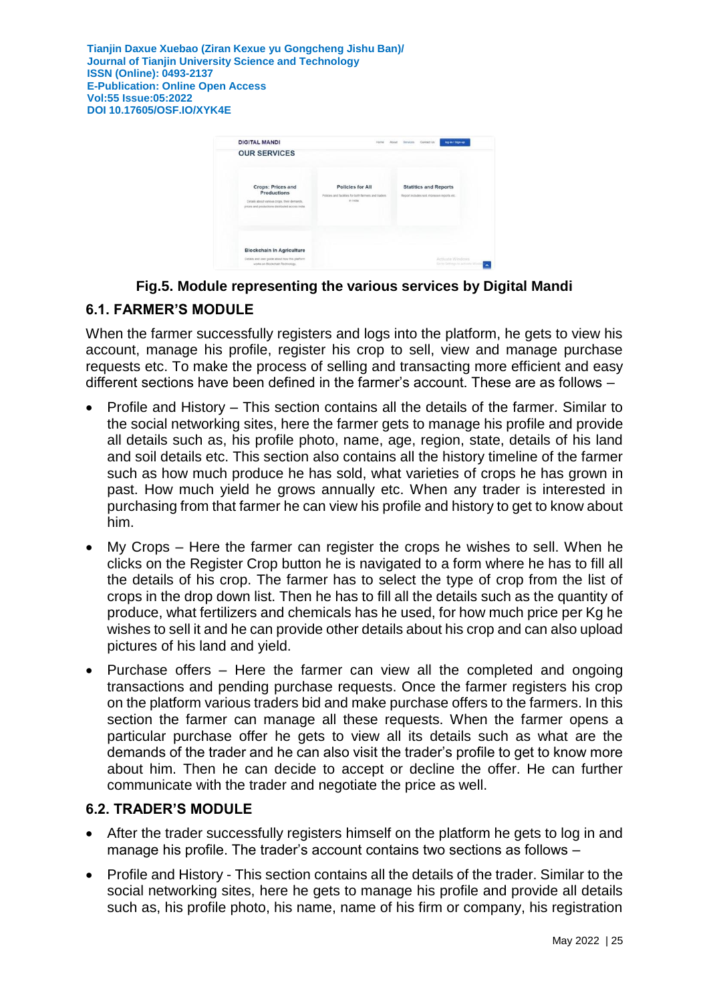| <b>DIGITAL MANDI</b>                                                                                                                       | <b>HOTH</b>                                                                                 | log-in / Sign-up<br>Contact Us<br>About.<br>Services                       |
|--------------------------------------------------------------------------------------------------------------------------------------------|---------------------------------------------------------------------------------------------|----------------------------------------------------------------------------|
| <b>OUR SERVICES</b>                                                                                                                        |                                                                                             |                                                                            |
| <b>Crops: Prices and</b><br>Productions<br>Details about various crops, their demands,<br>prices and productions distributed across todia. | <b>Policies for All</b><br>Policies and facilities for both farmers and traders<br>in India | <b>Statitics and Reports</b><br>Report includes sell, monsoon reports etc. |
| <b>Blockchain in Agriculture</b><br>Details and user quide about how this platform.<br>works on Blockchain Technology.                     |                                                                                             | Activate Windows<br>Go to Settings to activate Wind                        |

# **Fig.5. Module representing the various services by Digital Mandi**

# **6.1. FARMER'S MODULE**

When the farmer successfully registers and logs into the platform, he gets to view his account, manage his profile, register his crop to sell, view and manage purchase requests etc. To make the process of selling and transacting more efficient and easy different sections have been defined in the farmer's account. These are as follows –

- Profile and History This section contains all the details of the farmer. Similar to the social networking sites, here the farmer gets to manage his profile and provide all details such as, his profile photo, name, age, region, state, details of his land and soil details etc. This section also contains all the history timeline of the farmer such as how much produce he has sold, what varieties of crops he has grown in past. How much yield he grows annually etc. When any trader is interested in purchasing from that farmer he can view his profile and history to get to know about him.
- My Crops Here the farmer can register the crops he wishes to sell. When he clicks on the Register Crop button he is navigated to a form where he has to fill all the details of his crop. The farmer has to select the type of crop from the list of crops in the drop down list. Then he has to fill all the details such as the quantity of produce, what fertilizers and chemicals has he used, for how much price per Kg he wishes to sell it and he can provide other details about his crop and can also upload pictures of his land and yield.
- Purchase offers Here the farmer can view all the completed and ongoing transactions and pending purchase requests. Once the farmer registers his crop on the platform various traders bid and make purchase offers to the farmers. In this section the farmer can manage all these requests. When the farmer opens a particular purchase offer he gets to view all its details such as what are the demands of the trader and he can also visit the trader's profile to get to know more about him. Then he can decide to accept or decline the offer. He can further communicate with the trader and negotiate the price as well.

# **6.2. TRADER'S MODULE**

- After the trader successfully registers himself on the platform he gets to log in and manage his profile. The trader's account contains two sections as follows –
- Profile and History This section contains all the details of the trader. Similar to the social networking sites, here he gets to manage his profile and provide all details such as, his profile photo, his name, name of his firm or company, his registration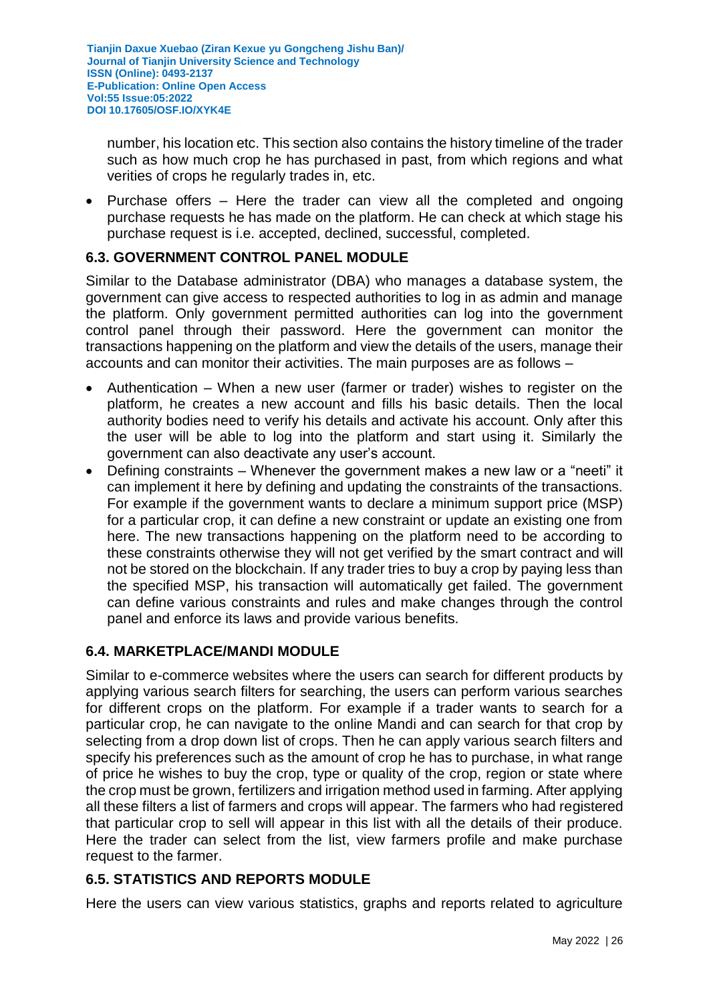number, his location etc. This section also contains the history timeline of the trader such as how much crop he has purchased in past, from which regions and what verities of crops he regularly trades in, etc.

• Purchase offers – Here the trader can view all the completed and ongoing purchase requests he has made on the platform. He can check at which stage his purchase request is i.e. accepted, declined, successful, completed.

# **6.3. GOVERNMENT CONTROL PANEL MODULE**

Similar to the Database administrator (DBA) who manages a database system, the government can give access to respected authorities to log in as admin and manage the platform. Only government permitted authorities can log into the government control panel through their password. Here the government can monitor the transactions happening on the platform and view the details of the users, manage their accounts and can monitor their activities. The main purposes are as follows –

- Authentication When a new user (farmer or trader) wishes to register on the platform, he creates a new account and fills his basic details. Then the local authority bodies need to verify his details and activate his account. Only after this the user will be able to log into the platform and start using it. Similarly the government can also deactivate any user's account.
- Defining constraints Whenever the government makes a new law or a "neeti" it can implement it here by defining and updating the constraints of the transactions. For example if the government wants to declare a minimum support price (MSP) for a particular crop, it can define a new constraint or update an existing one from here. The new transactions happening on the platform need to be according to these constraints otherwise they will not get verified by the smart contract and will not be stored on the blockchain. If any trader tries to buy a crop by paying less than the specified MSP, his transaction will automatically get failed. The government can define various constraints and rules and make changes through the control panel and enforce its laws and provide various benefits.

# **6.4. MARKETPLACE/MANDI MODULE**

Similar to e-commerce websites where the users can search for different products by applying various search filters for searching, the users can perform various searches for different crops on the platform. For example if a trader wants to search for a particular crop, he can navigate to the online Mandi and can search for that crop by selecting from a drop down list of crops. Then he can apply various search filters and specify his preferences such as the amount of crop he has to purchase, in what range of price he wishes to buy the crop, type or quality of the crop, region or state where the crop must be grown, fertilizers and irrigation method used in farming. After applying all these filters a list of farmers and crops will appear. The farmers who had registered that particular crop to sell will appear in this list with all the details of their produce. Here the trader can select from the list, view farmers profile and make purchase request to the farmer.

# **6.5. STATISTICS AND REPORTS MODULE**

Here the users can view various statistics, graphs and reports related to agriculture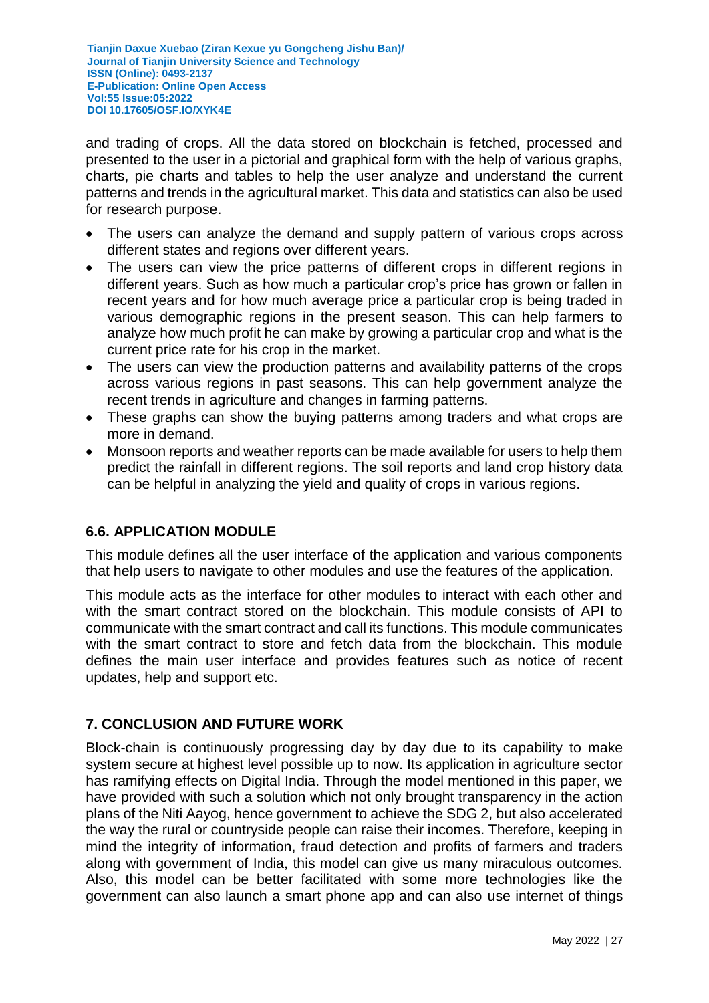and trading of crops. All the data stored on blockchain is fetched, processed and presented to the user in a pictorial and graphical form with the help of various graphs, charts, pie charts and tables to help the user analyze and understand the current patterns and trends in the agricultural market. This data and statistics can also be used for research purpose.

- The users can analyze the demand and supply pattern of various crops across different states and regions over different years.
- The users can view the price patterns of different crops in different regions in different years. Such as how much a particular crop's price has grown or fallen in recent years and for how much average price a particular crop is being traded in various demographic regions in the present season. This can help farmers to analyze how much profit he can make by growing a particular crop and what is the current price rate for his crop in the market.
- The users can view the production patterns and availability patterns of the crops across various regions in past seasons. This can help government analyze the recent trends in agriculture and changes in farming patterns.
- These graphs can show the buying patterns among traders and what crops are more in demand.
- Monsoon reports and weather reports can be made available for users to help them predict the rainfall in different regions. The soil reports and land crop history data can be helpful in analyzing the yield and quality of crops in various regions.

# **6.6. APPLICATION MODULE**

This module defines all the user interface of the application and various components that help users to navigate to other modules and use the features of the application.

This module acts as the interface for other modules to interact with each other and with the smart contract stored on the blockchain. This module consists of API to communicate with the smart contract and call its functions. This module communicates with the smart contract to store and fetch data from the blockchain. This module defines the main user interface and provides features such as notice of recent updates, help and support etc.

# **7. CONCLUSION AND FUTURE WORK**

Block-chain is continuously progressing day by day due to its capability to make system secure at highest level possible up to now. Its application in agriculture sector has ramifying effects on Digital India. Through the model mentioned in this paper, we have provided with such a solution which not only brought transparency in the action plans of the Niti Aayog, hence government to achieve the SDG 2, but also accelerated the way the rural or countryside people can raise their incomes. Therefore, keeping in mind the integrity of information, fraud detection and profits of farmers and traders along with government of India, this model can give us many miraculous outcomes. Also, this model can be better facilitated with some more technologies like the government can also launch a smart phone app and can also use internet of things